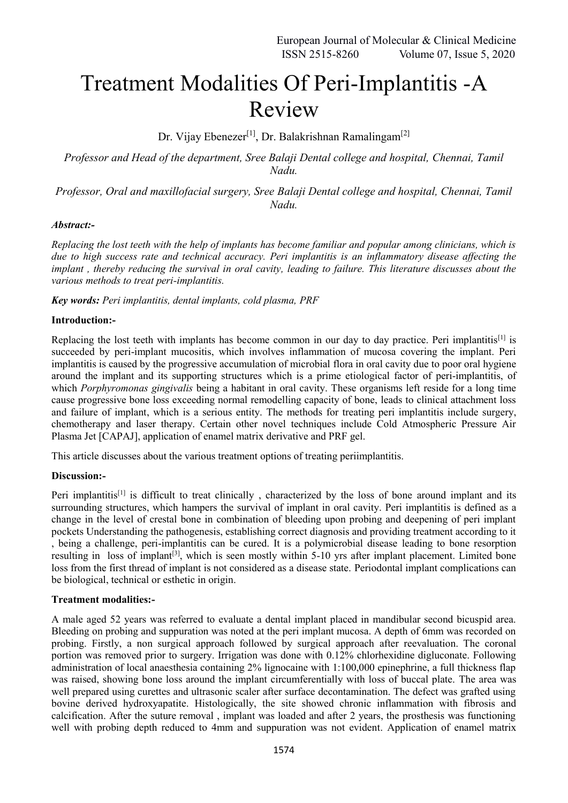# Treatment Modalities Of Peri-Implantitis -A Review

Dr. Vijay Ebenezer<sup>[1]</sup>, Dr. Balakrishnan Ramalingam<sup>[2]</sup>

*Professor and Head of the department, Sree Balaji Dental college and hospital, Chennai, Tamil Nadu.*

*Professor, Oral and maxillofacial surgery, Sree Balaji Dental college and hospital, Chennai, Tamil Nadu.*

# *Abstract:-*

*Replacing the lost teeth with the help of implants has become familiar and popular among clinicians, which is due to high success rate and technical accuracy. Peri implantitis is an inflammatory disease affecting the implant , thereby reducing the survival in oral cavity, leading to failure. This literature discusses about the various methods to treat peri-implantitis.*

*Key words: Peri implantitis, dental implants, cold plasma, PRF*

#### **Introduction:-**

Replacing the lost teeth with implants has become common in our day to day practice. Peri implantitis<sup>[1]</sup> is succeeded by peri-implant mucositis, which involves inflammation of mucosa covering the implant. Peri implantitis is caused by the progressive accumulation of microbial flora in oral cavity due to poor oral hygiene around the implant and its supporting structures which is a prime etiological factor of peri-implantitis, of which *Porphyromonas gingivalis* being a habitant in oral cavity. These organisms left reside for a long time cause progressive bone loss exceeding normal remodelling capacity of bone, leads to clinical attachment loss and failure of implant, which is a serious entity. The methods for treating peri implantitis include surgery, chemotherapy and laser therapy. Certain other novel techniques include Cold Atmospheric Pressure Air Plasma Jet [CAPAJ], application of enamel matrix derivative and PRF gel.

This article discusses about the various treatment options of treating periimplantitis.

# **Discussion:-**

Peri implantitis<sup>[1]</sup> is difficult to treat clinically, characterized by the loss of bone around implant and its surrounding structures, which hampers the survival of implant in oral cavity. Peri implantitis is defined as a change in the level of crestal bone in combination of bleeding upon probing and deepening of peri implant pockets Understanding the pathogenesis, establishing correct diagnosis and providing treatment according to it , being a challenge, peri-implantitis can be cured. It is a polymicrobial disease leading to bone resorption resulting in loss of implant<sup>[3]</sup>, which is seen mostly within 5-10 yrs after implant placement. Limited bone loss from the first thread of implant is not considered as a disease state. Periodontal implant complications can be biological, technical or esthetic in origin.

#### **Treatment modalities:-**

A male aged 52 years was referred to evaluate a dental implant placed in mandibular second bicuspid area. Bleeding on probing and suppuration was noted at the peri implant mucosa. A depth of 6mm was recorded on probing. Firstly, a non surgical approach followed by surgical approach after reevaluation. The coronal portion was removed prior to surgery. Irrigation was done with 0.12% chlorhexidine digluconate. Following administration of local anaesthesia containing 2% lignocaine with 1:100,000 epinephrine, a full thickness flap was raised, showing bone loss around the implant circumferentially with loss of buccal plate. The area was well prepared using curettes and ultrasonic scaler after surface decontamination. The defect was grafted using bovine derived hydroxyapatite. Histologically, the site showed chronic inflammation with fibrosis and calcification. After the suture removal , implant was loaded and after 2 years, the prosthesis was functioning well with probing depth reduced to 4mm and suppuration was not evident. Application of enamel matrix